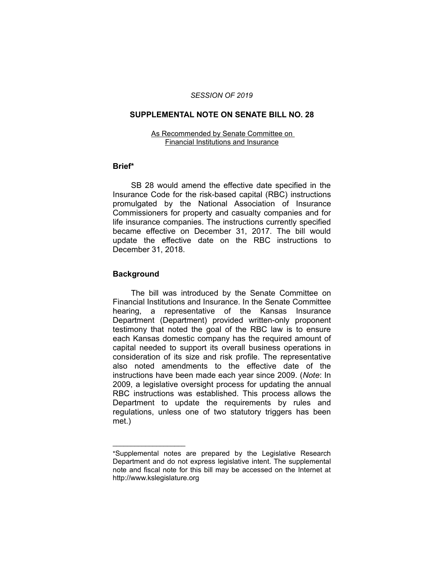## *SESSION OF 2019*

### **SUPPLEMENTAL NOTE ON SENATE BILL NO. 28**

#### As Recommended by Senate Committee on Financial Institutions and Insurance

# **Brief\***

SB 28 would amend the effective date specified in the Insurance Code for the risk-based capital (RBC) instructions promulgated by the National Association of Insurance Commissioners for property and casualty companies and for life insurance companies. The instructions currently specified became effective on December 31, 2017. The bill would update the effective date on the RBC instructions to December 31, 2018.

# **Background**

 $\overline{\phantom{a}}$  , where  $\overline{\phantom{a}}$ 

The bill was introduced by the Senate Committee on Financial Institutions and Insurance. In the Senate Committee hearing, a representative of the Kansas Insurance Department (Department) provided written-only proponent testimony that noted the goal of the RBC law is to ensure each Kansas domestic company has the required amount of capital needed to support its overall business operations in consideration of its size and risk profile. The representative also noted amendments to the effective date of the instructions have been made each year since 2009. (*Note*: In 2009, a legislative oversight process for updating the annual RBC instructions was established. This process allows the Department to update the requirements by rules and regulations, unless one of two statutory triggers has been met.)

<sup>\*</sup>Supplemental notes are prepared by the Legislative Research Department and do not express legislative intent. The supplemental note and fiscal note for this bill may be accessed on the Internet at http://www.kslegislature.org